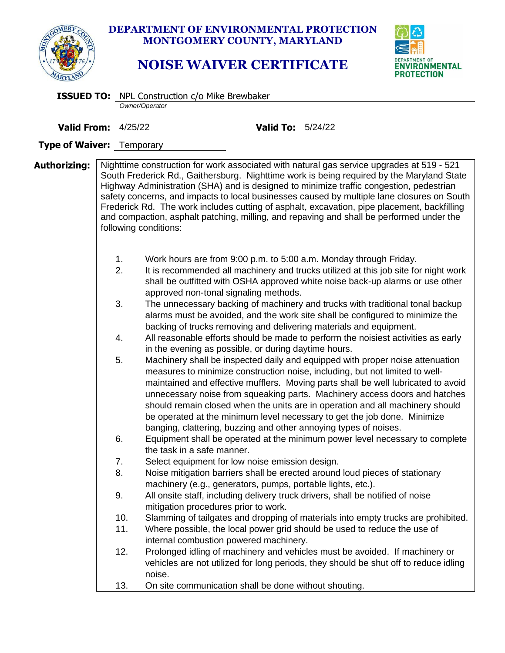

## **DEPARTMENT OF ENVIRONMENTAL PROTECTION MONTGOMERY COUNTY, MARYLAND**

## **NOISE WAIVER CERTIFICATE**



|                            |            | <b>ISSUED TO:</b> NPL Construction c/o Mike Brewbaker                                                          |                          |                                                                                                                                                                                                                                                                                                                                                                                                                                                                                                                                                                            |  |  |
|----------------------------|------------|----------------------------------------------------------------------------------------------------------------|--------------------------|----------------------------------------------------------------------------------------------------------------------------------------------------------------------------------------------------------------------------------------------------------------------------------------------------------------------------------------------------------------------------------------------------------------------------------------------------------------------------------------------------------------------------------------------------------------------------|--|--|
|                            |            | Owner/Operator                                                                                                 |                          |                                                                                                                                                                                                                                                                                                                                                                                                                                                                                                                                                                            |  |  |
| <b>Valid From: 4/25/22</b> |            |                                                                                                                | <b>Valid To:</b> 5/24/22 |                                                                                                                                                                                                                                                                                                                                                                                                                                                                                                                                                                            |  |  |
| Type of Waiver: Temporary  |            |                                                                                                                |                          |                                                                                                                                                                                                                                                                                                                                                                                                                                                                                                                                                                            |  |  |
| Authorizing:               |            | following conditions:                                                                                          |                          | Nighttime construction for work associated with natural gas service upgrades at 519 - 521<br>South Frederick Rd., Gaithersburg. Nighttime work is being required by the Maryland State<br>Highway Administration (SHA) and is designed to minimize traffic congestion, pedestrian<br>safety concerns, and impacts to local businesses caused by multiple lane closures on South<br>Frederick Rd. The work includes cutting of asphalt, excavation, pipe placement, backfilling<br>and compaction, asphalt patching, milling, and repaving and shall be performed under the |  |  |
|                            | 1.<br>2.   | approved non-tonal signaling methods.                                                                          |                          | Work hours are from 9:00 p.m. to 5:00 a.m. Monday through Friday.<br>It is recommended all machinery and trucks utilized at this job site for night work<br>shall be outfitted with OSHA approved white noise back-up alarms or use other                                                                                                                                                                                                                                                                                                                                  |  |  |
|                            | 3.         |                                                                                                                |                          | The unnecessary backing of machinery and trucks with traditional tonal backup<br>alarms must be avoided, and the work site shall be configured to minimize the<br>backing of trucks removing and delivering materials and equipment.                                                                                                                                                                                                                                                                                                                                       |  |  |
|                            | 4.         | in the evening as possible, or during daytime hours.                                                           |                          | All reasonable efforts should be made to perform the noisiest activities as early                                                                                                                                                                                                                                                                                                                                                                                                                                                                                          |  |  |
|                            | 5.         |                                                                                                                |                          | Machinery shall be inspected daily and equipped with proper noise attenuation<br>measures to minimize construction noise, including, but not limited to well-<br>maintained and effective mufflers. Moving parts shall be well lubricated to avoid<br>unnecessary noise from squeaking parts. Machinery access doors and hatches<br>should remain closed when the units are in operation and all machinery should<br>be operated at the minimum level necessary to get the job done. Minimize<br>banging, clattering, buzzing and other annoying types of noises.          |  |  |
|                            | 6.         | the task in a safe manner.                                                                                     |                          | Equipment shall be operated at the minimum power level necessary to complete                                                                                                                                                                                                                                                                                                                                                                                                                                                                                               |  |  |
|                            | 7.<br>8.   | Select equipment for low noise emission design.<br>machinery (e.g., generators, pumps, portable lights, etc.). |                          | Noise mitigation barriers shall be erected around loud pieces of stationary                                                                                                                                                                                                                                                                                                                                                                                                                                                                                                |  |  |
|                            | 9.         | mitigation procedures prior to work.                                                                           |                          | All onsite staff, including delivery truck drivers, shall be notified of noise                                                                                                                                                                                                                                                                                                                                                                                                                                                                                             |  |  |
|                            | 10.<br>11. | internal combustion powered machinery.                                                                         |                          | Slamming of tailgates and dropping of materials into empty trucks are prohibited.<br>Where possible, the local power grid should be used to reduce the use of                                                                                                                                                                                                                                                                                                                                                                                                              |  |  |
|                            | 12.        | noise.                                                                                                         |                          | Prolonged idling of machinery and vehicles must be avoided. If machinery or<br>vehicles are not utilized for long periods, they should be shut off to reduce idling                                                                                                                                                                                                                                                                                                                                                                                                        |  |  |
|                            | 13.        | On site communication shall be done without shouting.                                                          |                          |                                                                                                                                                                                                                                                                                                                                                                                                                                                                                                                                                                            |  |  |